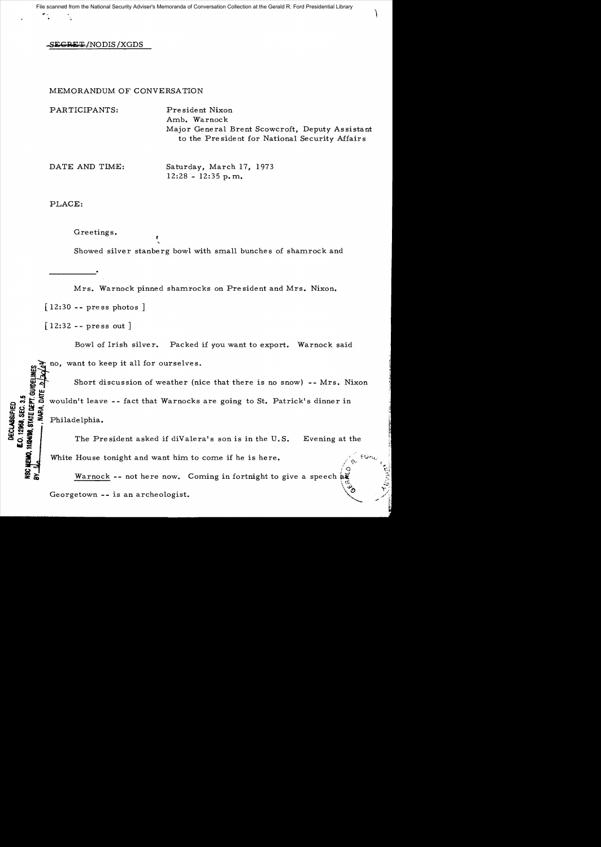SEGRET/NODIS/XGDS

## MEMORANDUM OF CONVERSATION

PARTICIPANTS: President Nixon Amb. Warnock Major General Brent Scowcroft, Deputy Assistant to the Pre side nt for National Security Affair s

DATE AND TIME: Saturday, March 17, 1973  $12:28 - 12:35$  p.m.

PLACE:

Greetings. Showed silver stanberg bowl with small bunches of shamrock and

Mrs. Warnock pinned shamrocks on President and Mrs. Nixon. [12:30 **--** press photos]

[12:32 **--** press out]

**DECLASSIFIED** 

Bowl of Irish silver. Packed if you want to export. Warnock said

no, want to keep it all for ourselves.

Short discussion of weather (nice that there is no snow) -- Mrs. Nixon iS~ ~ ;: ~ wouldn't leave - - fact that Warnocks are going to St. Patrick's dinner in  $\frac{1}{2}$   $\frac{1}{2}$   $\frac{1}{2}$  wouldn't leave -- fact that warnocks are going to St. Patrick's dinner in 77887<br>7898, 21<br>7998, 21:04<br>7998, 21:04 ...<br>
SECRET SOUTH THE PHILADE Philadelphia.<br>
SECRET Philadelphia.<br>
The Pr

The President asked if diValera's son is in the U.S. Evening at the White House tonight and want him to come if he is here.

 $\sqrt{2}$ Warnock -- not here now. Coming in fortnight to give a speech  $\hat{a}\hat{c}$ Georgetown -- is an archeologist.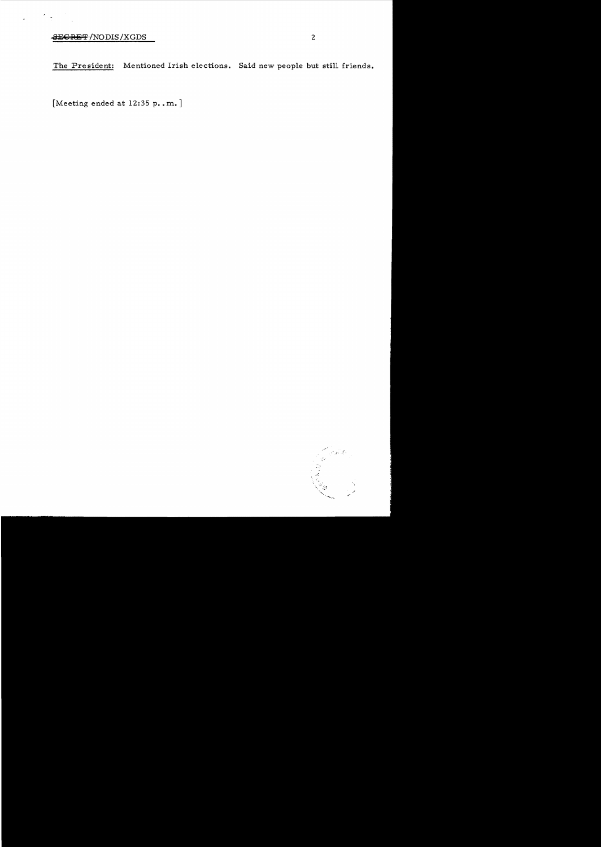## SECRET/NODIS/XGDS

 $\frac{1}{\sqrt{2}}$ 

 $\bar{\star}$ 

The President: Mentioned Irish elections. Said new people but still friends.

[Meeting ended at 12:35 p. m.]